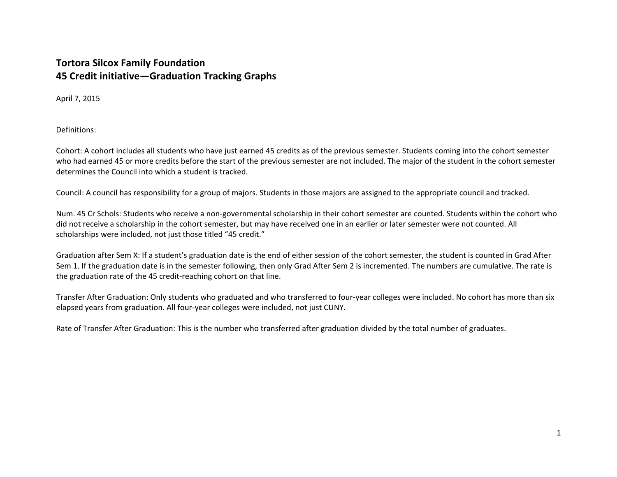## **Tortora Silcox Family Foundation 45 Credit initiative—Graduation Tracking Graphs**

April 7, 2015

Definitions:

Cohort: A cohort includes all students who have just earned 45 credits as of the previous semester. Students coming into the cohort semester who had earned 45 or more credits before the start of the previous semester are not included. The major of the student in the cohort semester determines the Council into which <sup>a</sup> student is tracked.

Council: A council has responsibility for <sup>a</sup> group of majors. Students in those majors are assigned to the appropriate council and tracked.

Num. 45 Cr Schols: Students who receive <sup>a</sup> non‐governmental scholarship in their cohort semester are counted. Students within the cohort who did not receive <sup>a</sup> scholarship in the cohort semester, but may have received one in an earlier or later semester were not counted. All scholarships were included, not just those titled "45 credit."

Graduation after Sem X: If <sup>a</sup> student's graduation date is the end of either session of the cohort semester, the student is counted in Grad After Sem 1. If the graduation date is in the semester following, then only Grad After Sem 2 is incremented. The numbers are cumulative. The rate is the graduation rate of the 45 credit‐reaching cohort on that line.

Transfer After Graduation: Only students who graduated and who transferred to four‐year colleges were included. No cohort has more than six elapsed years from graduation. All four‐year colleges were included, not just CUNY.

Rate of Transfer After Graduation: This is the number who transferred after graduation divided by the total number of graduates.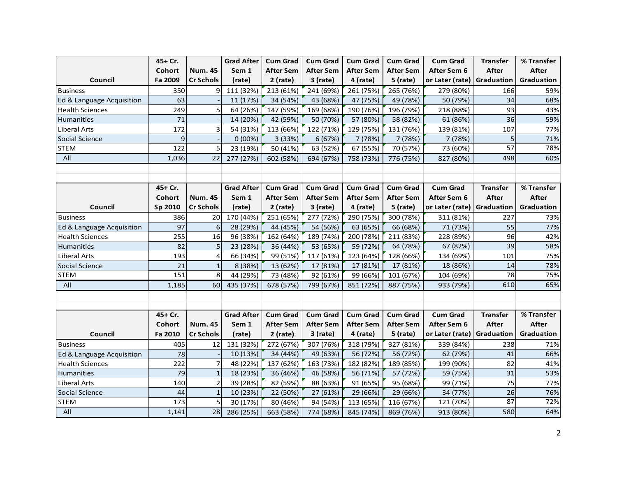|                           | 45+ Cr.       |                  | <b>Grad After</b> | <b>Cum Grad</b>  | <b>Cum Grad</b>  | <b>Cum Grad</b>  | <b>Cum Grad</b>  | <b>Cum Grad</b>              | <b>Transfer</b> | % Transfer   |
|---------------------------|---------------|------------------|-------------------|------------------|------------------|------------------|------------------|------------------------------|-----------------|--------------|
|                           | <b>Cohort</b> | <b>Num. 45</b>   | Sem 1             | After Sem        | <b>After Sem</b> | <b>After Sem</b> | <b>After Sem</b> | After Sem 6                  | After           | After        |
| Council                   | Fa 2009       | <b>Cr Schols</b> | (rate)            | $2$ (rate)       | $3$ (rate)       | 4 (rate)         | $5$ (rate)       | or Later (rate)              | Graduation      | Graduation   |
| <b>Business</b>           | 350           | 9                | 111 (32%)         | 213 (61%)        | 241 (69%)        | 261 (75%)        | 265 (76%)        | 279 (80%)                    | 166             | 59%          |
| Ed & Language Acquisition | 63            |                  | 11 (17%)          | 34 (54%)         | 43 (68%)         | 47 (75%)         | 49 (78%)         | 50 (79%)                     | 34              | 68%          |
| <b>Health Sciences</b>    | 249           | 5                | 64 (26%)          | 147 (59%)        | 169 (68%)        | 190 (76%)        | 196 (79%)        | 218 (88%)                    | 93              | 43%          |
| Humanities                | 71            |                  | 14 (20%)          | 42 (59%)         | 50 (70%)         | 57 (80%)         | 58 (82%)         | 61 (86%)                     | 36              | 59%          |
| Liberal Arts              | 172           | 3                | 54 (31%)          | 113 (66%)        | 122 (71%)        | 129 (75%)        | 131 (76%)        | 139 (81%)                    | 107             | 77%          |
| Social Science            | 9             |                  | 0(00%)            | 3 (33%)          | 6 (67%)          | 7 (78%)          | 7 (78%)          | 7 (78%)                      | 5               | 71%          |
| STEM                      | 122           | 5                | 23 (19%)          | 50 (41%)         | 63 (52%)         | 67 (55%)         | 70 (57%)         | 73 (60%)                     | 57              | 78%          |
| All                       | 1,036         | 22               | 277 (27%)         | 602 (58%)        | 694 (67%)        | 758 (73%)        | 776 (75%)        | 827 (80%)                    | 498             | 60%          |
|                           |               |                  |                   |                  |                  |                  |                  |                              |                 |              |
|                           |               |                  |                   |                  |                  |                  |                  |                              |                 |              |
|                           | 45+ Cr.       |                  | <b>Grad After</b> | <b>Cum Grad</b>  | <b>Cum Grad</b>  | <b>Cum Grad</b>  | <b>Cum Grad</b>  | <b>Cum Grad</b>              | <b>Transfer</b> | % Transfer   |
|                           | Cohort        | <b>Num. 45</b>   | Sem 1             | <b>After Sem</b> | <b>After Sem</b> | <b>After Sem</b> | <b>After Sem</b> | After Sem 6                  | After           | After        |
| Council                   | Sp 2010       | <b>Cr Schols</b> | (rate)            | $2$ (rate)       | $3$ (rate)       | 4 (rate)         | 5 (rate)         | or Later (rate)   Graduation |                 | Graduation   |
| <b>Business</b>           | 386           | 20               | 170 (44%)         | 251 (65%)        | 277 (72%)        | 290 (75%)        | 300 (78%)        | 311 (81%)                    | 227             | 73%          |
| Ed & Language Acquisition | 97            | 6                | 28 (29%)          | 44 (45%)         | 54 (56%)         | 63 (65%)         | 66 (68%)         | 71 (73%)                     | 55              | 77%          |
| <b>Health Sciences</b>    | 255           | 16               | 96 (38%)          | 162 (64%)        | 189 (74%)        | 200 (78%)        | 211 (83%)        | 228 (89%)                    | 96              | 42%          |
| Humanities                | 82            | 5                | 23 (28%)          | 36 (44%)         | 53 (65%)         | 59 (72%)         | 64 (78%)         | 67 (82%)                     | 39              | 58%          |
| <b>Liberal Arts</b>       | 193           | 4                | 66 (34%)          | 99 (51%)         | 117 (61%)        | 123 (64%)        | 128 (66%)        | 134 (69%)                    | 101             | 75%          |
| Social Science            | 21            | $\mathbf{1}$     | 8 (38%)           | 13 (62%)         | 17 (81%)         | 17 (81%)         | 17 (81%)         | 18 (86%)                     | 14              | 78%          |
| <b>STEM</b>               | 151           | 8                | 44 (29%)          | 73 (48%)         | 92 (61%)         | 99 (66%)         | 101 (67%)        | 104 (69%)                    | 78              | 75%          |
| All                       | 1,185         | 60               | 435 (37%)         | 678 (57%)        | 799 (67%)        | 851 (72%)        | 887 (75%)        | 933 (79%)                    | 610             | 65%          |
|                           |               |                  |                   |                  |                  |                  |                  |                              |                 |              |
|                           |               |                  |                   |                  |                  |                  |                  |                              |                 |              |
|                           | 45+ Cr.       |                  | <b>Grad After</b> | <b>Cum Grad</b>  | <b>Cum Grad</b>  | <b>Cum Grad</b>  | <b>Cum Grad</b>  | <b>Cum Grad</b>              | <b>Transfer</b> | % Transfer   |
|                           | Cohort        | <b>Num. 45</b>   | Sem 1             | After Sem        | <b>After Sem</b> | <b>After Sem</b> | <b>After Sem</b> | After Sem 6                  | After           | <b>After</b> |
| Council                   | Fa 2010       | <b>Cr Schols</b> | (rate)            | 2 (rate)         | 3 (rate)         | 4 (rate)         | $5$ (rate)       | or Later (rate)   Graduation |                 | Graduation   |
| <b>Business</b>           | 405           | 12               | 131 (32%)         | 272 (67%)        | 307 (76%)        | 318 (79%)        | 327 (81%)        | 339 (84%)                    | 238             | 71%          |
| Ed & Language Acquisition | 78            |                  | 10 (13%)          | 34 (44%)         | 49 (63%)         | 56 (72%)         | 56 (72%)         | 62 (79%)                     | 41              | 66%          |
| <b>Health Sciences</b>    | 222           |                  | 48 (22%)          | 137 (62%)        | 163 (73%)        | 182 (82%)        | 189 (85%)        | 199 (90%)                    | 82              | 41%          |
| Humanities                | 79            |                  | 18 (23%)          | 36 (46%)         | 46 (58%)         | 56 (71%)         | 57 (72%)         | 59 (75%)                     | 31              | 53%          |
| Liberal Arts              | 140           | $\overline{2}$   | 39 (28%)          | 82 (59%)         | 88 (63%)         | 91 (65%)         | 95 (68%)         | 99 (71%)                     | 75              | 77%          |
| Social Science            | 44            |                  | 10 (23%)          | 22 (50%)         | 27 (61%)         | 29 (66%)         | 29 (66%)         | 34 (77%)                     | 26              | 76%          |
| <b>STEM</b>               | 173           | 5                | 30 (17%)          | 80 (46%)         | 94 (54%)         | 113 (65%)        | 116 (67%)        | 121 (70%)                    | 87              | 72%          |
| All                       | 1,141         | 28               | 286 (25%)         | 663 (58%)        | 774 (68%)        | 845 (74%)        | 869 (76%)        | 913 (80%)                    | 580             | 64%          |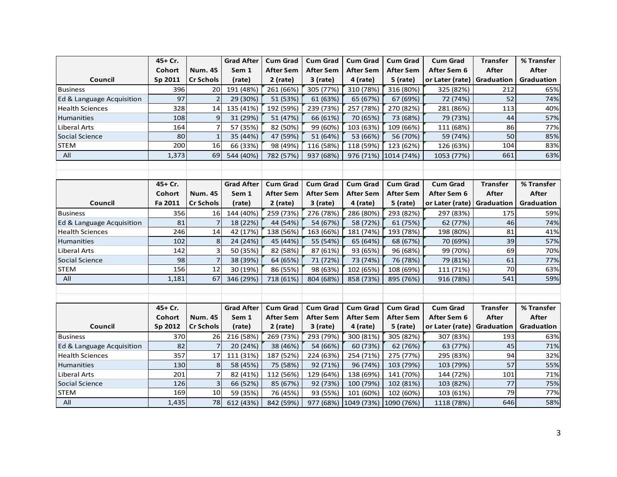|                           | 45+ Cr. |                  | <b>Grad After</b> | <b>Cum Grad</b>  | <b>Cum Grad</b>  | <b>Cum Grad</b>  | <b>Cum Grad</b>      | <b>Cum Grad</b>              | <b>Transfer</b> | % Transfer   |
|---------------------------|---------|------------------|-------------------|------------------|------------------|------------------|----------------------|------------------------------|-----------------|--------------|
|                           | Cohort  | <b>Num. 45</b>   | Sem 1             | After Sem        | After Sem        | <b>After Sem</b> | <b>After Sem</b>     | After Sem 6                  | <b>After</b>    | <b>After</b> |
| Council                   | Sp 2011 | <b>Cr Schols</b> | (rate)            | $2$ (rate)       | 3 (rate)         | 4 (rate)         | $5$ (rate)           | or Later (rate)              | Graduation      | Graduation   |
| <b>Business</b>           | 396     | 20               | 191 (48%)         | 261 (66%)        | 305 (77%)        | 310 (78%)        | 316 (80%)            | 325 (82%)                    | 212             | 65%          |
| Ed & Language Acquisition | 97      | $\overline{2}$   | 29 (30%)          | 51 (53%)         | 61 (63%)         | 65 (67%)         | 67 (69%)             | 72 (74%)                     | 52              | 74%          |
| <b>Health Sciences</b>    | 328     | 14               | 135 (41%)         | 192 (59%)        | 239 (73%)        | 257 (78%)        | 270 (82%)            | 281 (86%)                    | 113             | 40%          |
| Humanities                | 108     | 9                | 31 (29%)          | 51 (47%)         | 66 (61%)         | 70 (65%)         | 73 (68%)             | 79 (73%)                     | 44              | 57%          |
| <b>Liberal Arts</b>       | 164     | 7                | 57 (35%)          | 82 (50%)         | 99 (60%)         | 103 (63%)        | 109 (66%)            | 111 (68%)                    | 86              | 77%          |
| Social Science            | 80      | $\mathbf{1}$     | 35 (44%)          | 47 (59%)         | 51 (64%)         | 53 (66%)         | 56 (70%)             | 59 (74%)                     | 50              | 85%          |
| <b>STEM</b>               | 200     | 16               | 66 (33%)          | 98 (49%)         | 116 (58%)        | 118 (59%)        | 123 (62%)            | 126 (63%)                    | 104             | 83%          |
| All                       | 1,373   | 69               | 544 (40%)         | 782 (57%)        | 937 (68%)        |                  | 976 (71%) 1014 (74%) | 1053 (77%)                   | 661             | 63%          |
|                           |         |                  |                   |                  |                  |                  |                      |                              |                 |              |
|                           |         |                  |                   |                  |                  |                  |                      |                              |                 |              |
|                           | 45+ Cr. |                  | <b>Grad After</b> | <b>Cum Grad</b>  | <b>Cum Grad</b>  | <b>Cum Grad</b>  | <b>Cum Grad</b>      | <b>Cum Grad</b>              | <b>Transfer</b> | % Transfer   |
|                           | Cohort  | <b>Num. 45</b>   | Sem 1             | After Sem        | <b>After Sem</b> | <b>After Sem</b> | <b>After Sem</b>     | After Sem 6                  | <b>After</b>    | <b>After</b> |
| Council                   | Fa 2011 | <b>Cr Schols</b> | (rate)            | $2$ (rate)       | $3$ (rate)       | 4 (rate)         | $5$ (rate)           | or Later (rate)   Graduation |                 | Graduation   |
| <b>Business</b>           | 356     | 16               | 144 (40%)         | 259 (73%)        | 276 (78%)        | 286 (80%)        | 293 (82%)            | 297 (83%)                    | 175             | 59%          |
| Ed & Language Acquisition | 81      | $\overline{7}$   | 18 (22%)          | 44 (54%)         | 54 (67%)         | 58 (72%)         | 61 (75%)             | 62 (77%)                     | 46              | 74%          |
| <b>Health Sciences</b>    | 246     | 14               | 42 (17%)          | 138 (56%)        | 163 (66%)        | 181 (74%)        | 193 (78%)            | 198 (80%)                    | 81              | 41%          |
| Humanities                | 102     | 8                | 24 (24%)          | 45 (44%)         | 55 (54%)         | 65 (64%)         | 68 (67%)             | 70 (69%)                     | 39              | 57%          |
| Liberal Arts              | 142     | 3                | 50 (35%)          | 82 (58%)         | 87 (61%)         | 93 (65%)         | 96 (68%)             | 99 (70%)                     | 69              | 70%          |
| Social Science            | 98      | $\overline{7}$   | 38 (39%)          | 64 (65%)         | 71 (72%)         | 73 (74%)         | 76 (78%)             | 79 (81%)                     | 61              | 77%          |
| <b>STEM</b>               | 156     | 12               | 30 (19%)          | 86 (55%)         | 98 (63%)         | 102 (65%)        | 108 (69%)            | 111 (71%)                    | 70              | 63%          |
| All                       | 1,181   | 67               | 346 (29%)         | 718 (61%)        | 804 (68%)        | 858 (73%)        | 895 (76%)            | 916 (78%)                    | 541             | 59%          |
|                           |         |                  |                   |                  |                  |                  |                      |                              |                 |              |
|                           |         |                  |                   |                  |                  |                  |                      |                              |                 |              |
|                           | 45+ Cr. |                  | <b>Grad After</b> | <b>Cum Grad</b>  | <b>Cum Grad</b>  | <b>Cum Grad</b>  | <b>Cum Grad</b>      | <b>Cum Grad</b>              | <b>Transfer</b> | % Transfer   |
|                           | Cohort  | <b>Num. 45</b>   | Sem 1             | <b>After Sem</b> | <b>After Sem</b> | <b>After Sem</b> | <b>After Sem</b>     | After Sem 6                  | After           | <b>After</b> |
| Council                   | Sp 2012 | <b>Cr Schols</b> | (rate)            | $2$ (rate)       | $3$ (rate)       | 4 (rate)         | 5 (rate)             | or Later (rate)              | Graduation      | Graduation   |
| <b>Business</b>           | 370     | 26               | 216 (58%)         | 269 (73%)        | 293 (79%)        | 300 (81%)        | 305 (82%)            | 307 (83%)                    | 193             | 63%          |
| Ed & Language Acquisition | 82      | 7                | 20 (24%)          | 38 (46%)         | 54 (66%)         | 60 (73%)         | 62 (76%)             | 63 (77%)                     | 45              | 71%          |
| <b>Health Sciences</b>    | 357     | 17               | 111 (31%)         | 187 (52%)        | 224 (63%)        | 254 (71%)        | 275 (77%)            | 295 (83%)                    | 94              | 32%          |
| <b>Humanities</b>         | 130     | 8                | 58 (45%)          | 75 (58%)         | 92 (71%)         | 96 (74%)         | 103 (79%)            | 103 (79%)                    | 57              | 55%          |
| Liberal Arts              | 201     | $\overline{7}$   | 82 (41%)          | 112 (56%)        | 129 (64%)        | 138 (69%)        | 141 (70%)            | 144 (72%)                    | 101             | 71%          |
| Social Science            | 126     | 3                | 66 (52%)          | 85 (67%)         | 92 (73%)         | 100 (79%)        | 102 (81%)            | 103 (82%)                    | 77              | 75%          |
| <b>STEM</b>               | 169     | 10               | 59 (35%)          | 76 (45%)         | 93 (55%)         | 101 (60%)        | 102 (60%)            | 103 (61%)                    | 79              | 77%          |
| All                       | 1,435   | 78               | 612 (43%)         | 842 (59%)        | 977 (68%)        | 1049 (73%)       | 1090 (76%)           | 1118 (78%)                   | 646             | 58%          |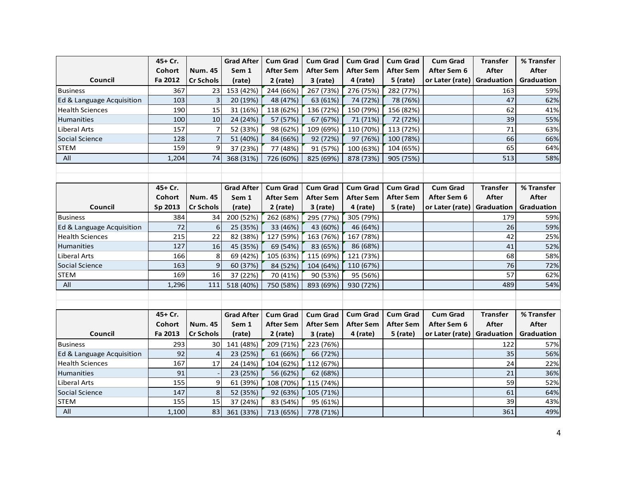|                           | 45+ Cr.       |                  | <b>Grad After</b> | <b>Cum Grad</b>  | <b>Cum Grad</b>  | <b>Cum Grad</b>  | <b>Cum Grad</b>  | <b>Cum Grad</b>              | <b>Transfer</b> | % Transfer        |
|---------------------------|---------------|------------------|-------------------|------------------|------------------|------------------|------------------|------------------------------|-----------------|-------------------|
|                           | Cohort        | <b>Num. 45</b>   | Sem 1             | <b>After Sem</b> | <b>After Sem</b> | <b>After Sem</b> | <b>After Sem</b> | After Sem 6                  | After           | After             |
| Council                   | Fa 2012       | <b>Cr Schols</b> | (rate)            | $2$ (rate)       | $3$ (rate)       | 4 (rate)         | 5 (rate)         | or Later (rate)   Graduation |                 | Graduation        |
| <b>Business</b>           | 367           | 23               | 153 (42%)         | 244 (66%)        | 267 (73%)        | 276 (75%)        | 282 (77%)        |                              | 163             | 59%               |
| Ed & Language Acquisition | 103           | 3                | 20 (19%)          | 48 (47%)         | 63 (61%)         | 74 (72%)         | 78 (76%)         |                              | 47              | 62%               |
| <b>Health Sciences</b>    | 190           | 15               | 31 (16%)          | 118 (62%)        | 136 (72%)        | 150 (79%)        | 156 (82%)        |                              | 62              | 41%               |
| Humanities                | 100           | 10               | 24 (24%)          | 57 (57%)         | 67 (67%)         | 71 (71%)         | 72 (72%)         |                              | 39              | 55%               |
| <b>Liberal Arts</b>       | 157           | 7                | 52 (33%)          | 98 (62%)         | 109 (69%)        | 110 (70%)        | 113 (72%)        |                              | 71              | 63%               |
| Social Science            | 128           | $\overline{7}$   | 51 (40%)          | 84 (66%)         | 92 (72%)         | 97 (76%)         | 100 (78%)        |                              | 66              | 66%               |
| <b>STEM</b>               | 159           | 9                | 37 (23%)          | 77 (48%)         | 91 (57%)         | 100 (63%)        | 104 (65%)        |                              | 65              | 64%               |
| All                       | 1,204         | 74               | 368 (31%)         | 726 (60%)        | 825 (69%)        | 878 (73%)        | 905 (75%)        |                              | 513             | 58%               |
|                           |               |                  |                   |                  |                  |                  |                  |                              |                 |                   |
|                           |               |                  |                   |                  |                  |                  |                  |                              |                 |                   |
|                           | 45+ Cr.       |                  | <b>Grad After</b> | <b>Cum Grad</b>  | <b>Cum Grad</b>  | <b>Cum Grad</b>  | <b>Cum Grad</b>  | <b>Cum Grad</b>              | <b>Transfer</b> | % Transfer        |
|                           | Cohort        | <b>Num. 45</b>   | Sem 1             | <b>After Sem</b> | <b>After Sem</b> | After Sem        | <b>After Sem</b> | After Sem 6                  | After           | After             |
| Council                   | Sp 2013       | <b>Cr Schols</b> | (rate)            | $2$ (rate)       | 3 (rate)         | 4 (rate)         | $5$ (rate)       | or Later (rate)   Graduation |                 | Graduation        |
| <b>Business</b>           | 384           | 34               | 200 (52%)         | 262 (68%)        | 295 (77%)        | 305 (79%)        |                  |                              | 179             | 59%               |
| Ed & Language Acquisition | 72            | 6                | 25 (35%)          | 33 (46%)         | 43 (60%)         | 46 (64%)         |                  |                              | 26              | 59%               |
| <b>Health Sciences</b>    | 215           | 22               | 82 (38%)          | 127 (59%)        | 163 (76%)        | 167 (78%)        |                  |                              | 42              | 25%               |
| Humanities                | 127           | 16               | 45 (35%)          | 69 (54%)         | 83 (65%)         | 86 (68%)         |                  |                              | 41              | 52%               |
| <b>Liberal Arts</b>       | 166           | 8                | 69 (42%)          | 105 (63%)        | 115 (69%)        | 121 (73%)        |                  |                              | 68              | 58%               |
| Social Science            | 163           | 9                | 60 (37%)          | 84 (52%)         | 104 (64%)        | 110 (67%)        |                  |                              | 76              | 72%               |
| <b>STEM</b>               | 169           | 16               | 37 (22%)          | 70 (41%)         | 90 (53%)         | 95 (56%)         |                  |                              | $\overline{57}$ | 62%               |
| All                       | 1,296         | 111              | 518 (40%)         | 750 (58%)        | 893 (69%)        | 930 (72%)        |                  |                              | 489             | 54%               |
|                           |               |                  |                   |                  |                  |                  |                  |                              |                 |                   |
|                           |               |                  |                   |                  |                  |                  |                  |                              |                 |                   |
|                           | 45+ Cr.       |                  | <b>Grad After</b> | <b>Cum Grad</b>  | <b>Cum Grad</b>  | <b>Cum Grad</b>  | <b>Cum Grad</b>  | <b>Cum Grad</b>              | <b>Transfer</b> | % Transfer        |
|                           | <b>Cohort</b> | <b>Num. 45</b>   | Sem 1             | <b>After Sem</b> | <b>After Sem</b> | <b>After Sem</b> | <b>After Sem</b> | After Sem 6                  | After           | After             |
| Council                   | Fa 2013       | <b>Cr Schols</b> | (rate)            | $2$ (rate)       | 3 (rate)         | 4 (rate)         | 5 (rate)         | or Later (rate)              | Graduation      | <b>Graduation</b> |
| <b>Business</b>           | 293           | 30               | 141 (48%)         | 209 (71%)        | 223 (76%)        |                  |                  |                              | 122             | 57%               |
| Ed & Language Acquisition | 92            | 4                | 23 (25%)          | 61 (66%)         | 66 (72%)         |                  |                  |                              | 35              | 56%               |
| <b>Health Sciences</b>    | 167           | 17               | 24 (14%)          | 104 (62%)        | 112 (67%)        |                  |                  |                              | 24              | 22%               |
| Humanities                | 91            |                  | 23 (25%)          | 56 (62%)         | 62 (68%)         |                  |                  |                              | 21              | 36%               |
| Liberal Arts              | 155           | 9                | 61 (39%)          | 108 (70%)        | 115 (74%)        |                  |                  |                              | 59              | 52%               |
| Social Science            | 147           | 8                | 52 (35%)          | 92 (63%)         | 105 (71%)        |                  |                  |                              | 61              | 64%               |
| <b>STEM</b>               | 155           | 15               | 37 (24%)          | 83 (54%)         | 95 (61%)         |                  |                  |                              | 39              | 43%               |
| All                       | 1,100         | 83               | 361 (33%)         | 713 (65%)        | 778 (71%)        |                  |                  |                              | 361             | 49%               |